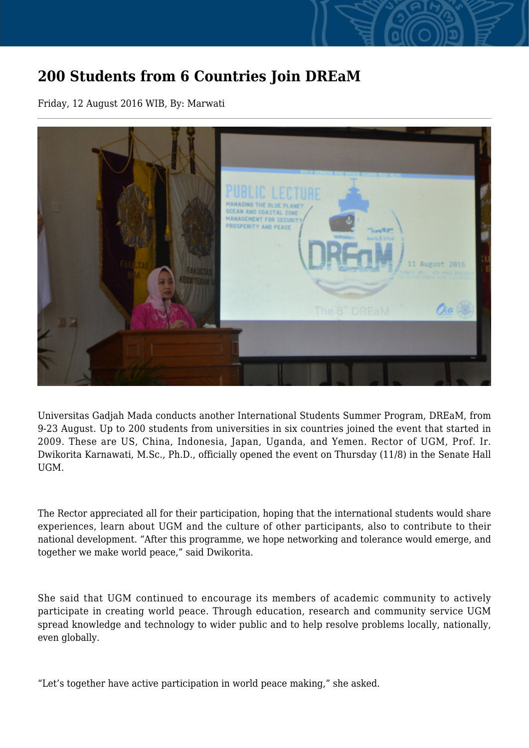## **200 Students from 6 Countries Join DREaM**

Friday, 12 August 2016 WIB, By: Marwati



Universitas Gadjah Mada conducts another International Students Summer Program, DREaM, from 9-23 August. Up to 200 students from universities in six countries joined the event that started in 2009. These are US, China, Indonesia, Japan, Uganda, and Yemen. Rector of UGM, Prof. Ir. Dwikorita Karnawati, M.Sc., Ph.D., officially opened the event on Thursday (11/8) in the Senate Hall **UGM** 

The Rector appreciated all for their participation, hoping that the international students would share experiences, learn about UGM and the culture of other participants, also to contribute to their national development. "After this programme, we hope networking and tolerance would emerge, and together we make world peace," said Dwikorita.

She said that UGM continued to encourage its members of academic community to actively participate in creating world peace. Through education, research and community service UGM spread knowledge and technology to wider public and to help resolve problems locally, nationally, even globally.

"Let's together have active participation in world peace making," she asked.